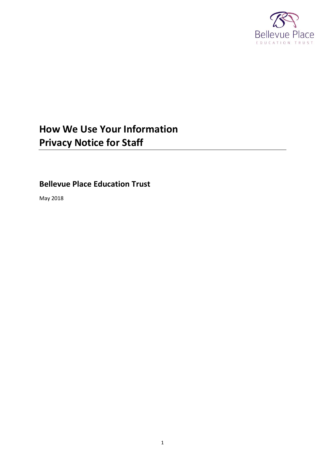

# **How We Use Your Information Privacy Notice for Staff**

**Bellevue Place Education Trust**

May 2018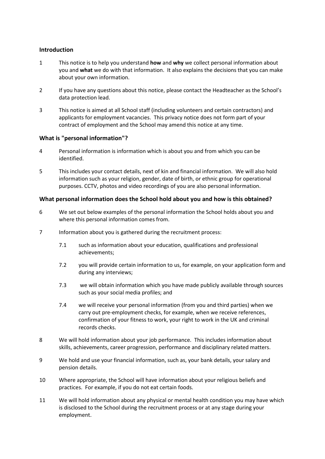# **Introduction**

- 1 This notice is to help you understand **how** and **why** we collect personal information about you and **what** we do with that information. It also explains the decisions that you can make about your own information.
- 2 If you have any questions about this notice, please contact the Headteacher as the School's data protection lead.
- 3 This notice is aimed at all School staff (including volunteers and certain contractors) and applicants for employment vacancies. This privacy notice does not form part of your contract of employment and the School may amend this notice at any time.

## **What is "personal information"?**

- 4 Personal information is information which is about you and from which you can be identified.
- 5 This includes your contact details, next of kin and financial information. We will also hold information such as your religion, gender, date of birth, or ethnic group for operational purposes. CCTV, photos and video recordings of you are also personal information.

## **What personal information does the School hold about you and how is this obtained?**

- 6 We set out below examples of the personal information the School holds about you and where this personal information comes from.
- 7 Information about you is gathered during the recruitment process:
	- 7.1 such as information about your education, qualifications and professional achievements;
	- 7.2 you will provide certain information to us, for example, on your application form and during any interviews;
	- 7.3 we will obtain information which you have made publicly available through sources such as your social media profiles; and
	- 7.4 we will receive your personal information (from you and third parties) when we carry out pre-employment checks, for example, when we receive references, confirmation of your fitness to work, your right to work in the UK and criminal records checks.
- 8 We will hold information about your job performance. This includes information about skills, achievements, career progression, performance and disciplinary related matters.
- 9 We hold and use your financial information, such as, your bank details, your salary and pension details.
- 10 Where appropriate, the School will have information about your religious beliefs and practices. For example, if you do not eat certain foods.
- 11 We will hold information about any physical or mental health condition you may have which is disclosed to the School during the recruitment process or at any stage during your employment.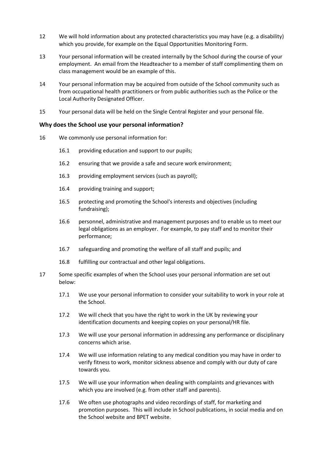- 12 We will hold information about any protected characteristics you may have (e.g. a disability) which you provide, for example on the Equal Opportunities Monitoring Form.
- 13 Your personal information will be created internally by the School during the course of your employment. An email from the Headteacher to a member of staff complimenting them on class management would be an example of this.
- 14 Your personal information may be acquired from outside of the School community such as from occupational health practitioners or from public authorities such as the Police or the Local Authority Designated Officer.
- 15 Your personal data will be held on the Single Central Register and your personal file.

## **Why does the School use your personal information?**

- <span id="page-2-8"></span><span id="page-2-7"></span><span id="page-2-6"></span><span id="page-2-2"></span><span id="page-2-0"></span>16 We commonly use personal information for:
	- 16.1 providing education and support to our pupils;
	- 16.2 ensuring that we provide a safe and secure work environment;
	- 16.3 providing employment services (such as payroll);
	- 16.4 providing training and support;
	- 16.5 protecting and promoting the School's interests and objectives (including fundraising);
	- 16.6 personnel, administrative and management purposes and to enable us to meet our legal obligations as an employer. For example, to pay staff and to monitor their performance;
	- 16.7 safeguarding and promoting the welfare of all staff and pupils; and
	- 16.8 fulfilling our contractual and other legal obligations.
- <span id="page-2-9"></span><span id="page-2-5"></span><span id="page-2-4"></span><span id="page-2-3"></span><span id="page-2-1"></span>17 Some specific examples of when the School uses your personal information are set out below:
	- 17.1 We use your personal information to consider your suitability to work in your role at the School.
	- 17.2 We will check that you have the right to work in the UK by reviewing your identification documents and keeping copies on your personal/HR file.
	- 17.3 We will use your personal information in addressing any performance or disciplinary concerns which arise.
	- 17.4 We will use information relating to any medical condition you may have in order to verify fitness to work, monitor sickness absence and comply with our duty of care towards you.
	- 17.5 We will use your information when dealing with complaints and grievances with which you are involved (e.g. from other staff and parents).
	- 17.6 We often use photographs and video recordings of staff, for marketing and promotion purposes. This will include in School publications, in social media and on the School website and BPET website.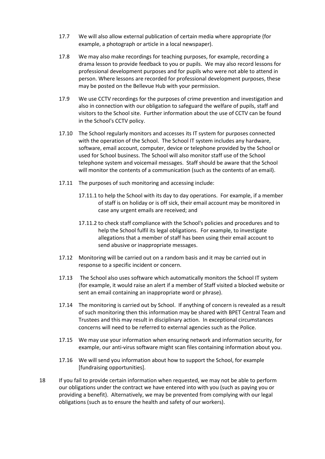- 17.7 We will also allow external publication of certain media where appropriate (for example, a photograph or article in a local newspaper).
- <span id="page-3-0"></span>17.8 We may also make recordings for teaching purposes, for example, recording a drama lesson to provide feedback to you or pupils. We may also record lessons for professional development purposes and for pupils who were not able to attend in person. Where lessons are recorded for professional development purposes, these may be posted on the Bellevue Hub with your permission.
- <span id="page-3-1"></span>17.9 We use CCTV recordings for the purposes of crime prevention and investigation and also in connection with our obligation to safeguard the welfare of pupils, staff and visitors to the School site. Further information about the use of CCTV can be found in the School's CCTV policy.
- <span id="page-3-2"></span>17.10 The School regularly monitors and accesses its IT system for purposes connected with the operation of the School. The School IT system includes any hardware, software, email account, computer, device or telephone provided by the School or used for School business. The School will also monitor staff use of the School telephone system and voicemail messages. Staff should be aware that the School will monitor the contents of a communication (such as the contents of an email).
- 17.11 The purposes of such monitoring and accessing include:
	- 17.11.1 to help the School with its day to day operations. For example, if a member of staff is on holiday or is off sick, their email account may be monitored in case any urgent emails are received; and
	- 17.11.2 to check staff compliance with the School's policies and procedures and to help the School fulfil its legal obligations. For example, to investigate allegations that a member of staff has been using their email account to send abusive or inappropriate messages.
- 17.12 Monitoring will be carried out on a random basis and it may be carried out in response to a specific incident or concern.
- 17.13 The School also uses software which automatically monitors the School IT system (for example, it would raise an alert if a member of Staff visited a blocked website or sent an email containing an inappropriate word or phrase).
- 17.14 The monitoring is carried out by School. If anything of concern is revealed as a result of such monitoring then this information may be shared with BPET Central Team and Trustees and this may result in disciplinary action. In exceptional circumstances concerns will need to be referred to external agencies such as the Police.
- 17.15 We may use your information when ensuring network and information security, for example, our anti-virus software might scan files containing information about you.
- 17.16 We will send you information about how to support the School, for example [fundraising opportunities].
- 18 If you fail to provide certain information when requested, we may not be able to perform our obligations under the contract we have entered into with you (such as paying you or providing a benefit). Alternatively, we may be prevented from complying with our legal obligations (such as to ensure the health and safety of our workers).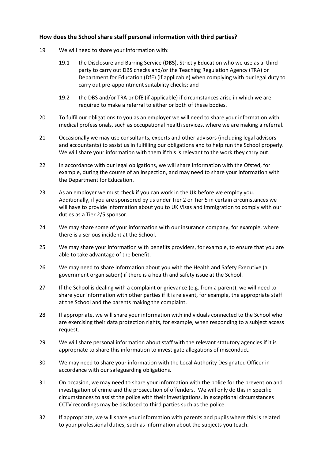# **How does the School share staff personal information with third parties?**

- <span id="page-4-3"></span><span id="page-4-2"></span>19 We will need to share your information with:
	- 19.1 the Disclosure and Barring Service (**DBS**), Strictly Education who we use as a third party to carry out DBS checks and/or the Teaching Regulation Agency (TRA) or Department for Education (DfE) (if applicable) when complying with our legal duty to carry out pre-appointment suitability checks; and
	- 19.2 the DBS and/or TRA or DfE (if applicable) if circumstances arise in which we are required to make a referral to either or both of these bodies.
- <span id="page-4-4"></span><span id="page-4-0"></span>20 To fulfil our obligations to you as an employer we will need to share your information with medical professionals, such as occupational health services, where we are making a referral.
- <span id="page-4-13"></span>21 Occasionally we may use consultants, experts and other advisors (including legal advisors and accountants) to assist us in fulfilling our obligations and to help run the School properly. We will share your information with them if this is relevant to the work they carry out.
- <span id="page-4-7"></span>22 In accordance with our legal obligations, we will share information with the Ofsted, for example, during the course of an inspection, and may need to share your information with the Department for Education.
- <span id="page-4-15"></span>23 As an employer we must check if you can work in the UK before we employ you. Additionally, if you are sponsored by us under Tier 2 or Tier 5 in certain circumstances we will have to provide information about you to UK Visas and Immigration to comply with our duties as a Tier 2/5 sponsor.
- <span id="page-4-14"></span>24 We may share some of your information with our insurance company, for example, where there is a serious incident at the School.
- <span id="page-4-1"></span>25 We may share your information with benefits providers, for example, to ensure that you are able to take advantage of the benefit.
- <span id="page-4-5"></span>26 We may need to share information about you with the Health and Safety Executive (a government organisation) if there is a health and safety issue at the School.
- <span id="page-4-8"></span>27 If the School is dealing with a complaint or grievance (e.g. from a parent), we will need to share your information with other parties if it is relevant, for example, the appropriate staff at the School and the parents making the complaint.
- <span id="page-4-6"></span>28 If appropriate, we will share your information with individuals connected to the School who are exercising their data protection rights, for example, when responding to a subject access request.
- <span id="page-4-9"></span>29 We will share personal information about staff with the relevant statutory agencies if it is appropriate to share this information to investigate allegations of misconduct.
- <span id="page-4-10"></span>30 We may need to share your information with the Local Authority Designated Officer in accordance with our safeguarding obligations.
- <span id="page-4-11"></span>31 On occasion, we may need to share your information with the police for the prevention and investigation of crime and the prosecution of offenders. We will only do this in specific circumstances to assist the police with their investigations. In exceptional circumstances CCTV recordings may be disclosed to third parties such as the police.
- <span id="page-4-12"></span>32 If appropriate, we will share your information with parents and pupils where this is related to your professional duties, such as information about the subjects you teach.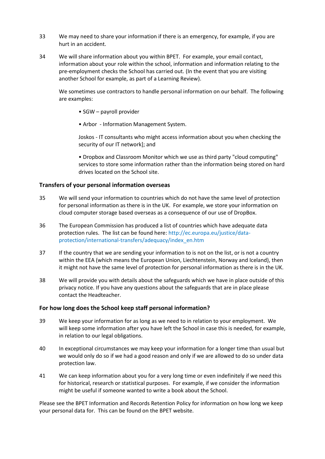- <span id="page-5-0"></span>33 We may need to share your information if there is an emergency, for example, if you are hurt in an accident.
- <span id="page-5-1"></span>34 We will share information about you within BPET. For example, your email contact, information about your role within the school, information and information relating to the pre-employment checks the School has carried out. (In the event that you are visiting another School for example, as part of a Learning Review).

We sometimes use contractors to handle personal information on our behalf. The following are examples:

- SGW payroll provider
- Arbor Information Management System.

Joskos - IT consultants who might access information about you when checking the security of our IT network]; and

• Dropbox and Classroom Monitor which we use as third party "cloud computing" services to store some information rather than the information being stored on hard drives located on the School site.

#### **Transfers of your personal information overseas**

- 35 We will send your information to countries which do not have the same level of protection for personal information as there is in the UK. For example, we store your information on cloud computer storage based overseas as a consequence of our use of DropBox.
- 36 The European Commission has produced a list of countries which have adequate data protection rules. The list can be found here[: http://ec.europa.eu/justice/data](http://ec.europa.eu/justice/data-protection/international-transfers/adequacy/index_en.htm)[protection/international-transfers/adequacy/index\\_en.htm](http://ec.europa.eu/justice/data-protection/international-transfers/adequacy/index_en.htm)
- 37 If the country that we are sending your information to is not on the list, or is not a country within the EEA (which means the European Union, Liechtenstein, Norway and Iceland), then it might not have the same level of protection for personal information as there is in the UK.
- 38 We will provide you with details about the safeguards which we have in place outside of this privacy notice. If you have any questions about the safeguards that are in place please contact the Headteacher.

#### **For how long does the School keep staff personal information?**

- 39 We keep your information for as long as we need to in relation to your employment. We will keep some information after you have left the School in case this is needed, for example, in relation to our legal obligations.
- 40 In exceptional circumstances we may keep your information for a longer time than usual but we would only do so if we had a good reason and only if we are allowed to do so under data protection law.
- 41 We can keep information about you for a very long time or even indefinitely if we need this for historical, research or statistical purposes. For example, if we consider the information might be useful if someone wanted to write a book about the School.

Please see the BPET Information and Records Retention Policy for information on how long we keep your personal data for. This can be found on the BPET website.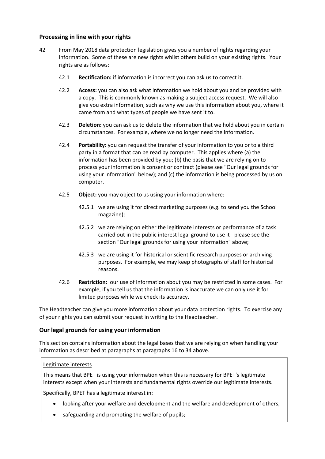# **Processing in line with your rights**

- 42 From May 2018 data protection legislation gives you a number of rights regarding your information. Some of these are new rights whilst others build on your existing rights. Your rights are as follows:
	- 42.1 **Rectification:** if information is incorrect you can ask us to correct it.
	- 42.2 **Access:** you can also ask what information we hold about you and be provided with a copy. This is commonly known as making a subject access request. We will also give you extra information, such as why we use this information about you, where it came from and what types of people we have sent it to.
	- 42.3 **Deletion:** you can ask us to delete the information that we hold about you in certain circumstances. For example, where we no longer need the information.
	- 42.4 **Portability:** you can request the transfer of your information to you or to a third party in a format that can be read by computer. This applies where (a) the information has been provided by you; (b) the basis that we are relying on to process your information is consent or contract (please see "Our legal grounds for using your information" below); and (c) the information is being processed by us on computer.
	- 42.5 **Object:** you may object to us using your information where:
		- 42.5.1 we are using it for direct marketing purposes (e.g. to send you the School magazine);
		- 42.5.2 we are relying on either the legitimate interests or performance of a task carried out in the public interest legal ground to use it - please see the section "Our legal grounds for using your information" above;
		- 42.5.3 we are using it for historical or scientific research purposes or archiving purposes. For example, we may keep photographs of staff for historical reasons.
	- 42.6 **Restriction:** our use of information about you may be restricted in some cases. For example, if you tell us that the information is inaccurate we can only use it for limited purposes while we check its accuracy.

The Headteacher can give you more information about your data protection rights. To exercise any of your rights you can submit your request in writing to the Headteacher.

# **Our legal grounds for using your information**

This section contains information about the legal bases that we are relying on when handling your information as described at paragraphs at paragraphs 16 to 34 above.

# Legitimate interests

This means that BPET is using your information when this is necessary for BPET's legitimate interests except when your interests and fundamental rights override our legitimate interests.

Specifically, BPET has a legitimate interest in:

- looking after your welfare and development and the welfare and development of others;
- safeguarding and promoting the welfare of pupils;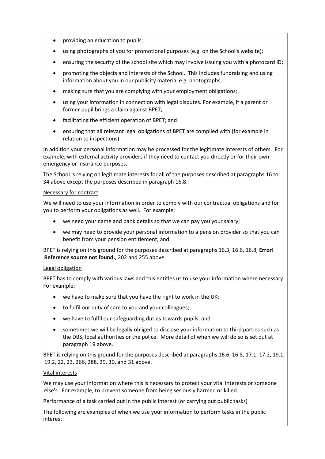- providing an education to pupils;
- using photographs of you for promotional purposes (e.g. on the School's website);
- ensuring the security of the school site which may involve issuing you with a photocard ID;
- promoting the objects and interests of the School. This includes fundraising and using information about you in our publicity material e.g. photographs.
- making sure that you are complying with your employment obligations;
- using your information in connection with legal disputes. For example, if a parent or former pupil brings a claim against BPET;
- facilitating the efficient operation of BPET; and
- ensuring that all relevant legal obligations of BPET are complied with (for example in relation to inspections).

In addition your personal information may be processed for the legitimate interests of others. For example, with external activity providers if they need to contact you directly or for their own emergency or insurance purposes.

The School is relying on legitimate interests for all of the purposes described at paragraphs [16](#page-2-0) to 34 above except the purposes described in paragraph [16.8.](#page-2-1)

#### Necessary for contract

We will need to use your information in order to comply with our contractual obligations and for you to perform your obligations as well. For example:

- we need your name and bank details so that we can pay you your salary;
- we may need to provide your personal information to a pension provider so that you can benefit from your pension entitlement; and

BPET is relying on this ground for the purposes described at paragraphs [16.3,](#page-2-2) [16.6,](#page-2-3) [16.8,](#page-2-1) **Error! Reference source not found.**, [202](#page-4-0) and [255](#page-4-1) above.

#### Legal obligation

BPET has to comply with various laws and this entitles us to use your information where necessary. For example:

- we have to make sure that you have the right to work in the UK;
- to fulfil our duty of care to you and your colleagues;
- we have to fulfil our safeguarding duties towards pupils; and
- sometimes we will be legally obliged to disclose your information to third parties such as the DBS, local authorities or the police. More detail of when we will do so is set out at paragrap[h 19](#page-4-2) above.

BPET is relying on this ground for the purposes described at paragraph[s 16.6,](#page-2-3) [16.8,](#page-2-1) [17.1,](#page-2-4) [17.2,](#page-2-5) [19.1,](#page-4-3) [19.2,](#page-4-4) 22, 23[, 266](#page-4-5)[, 288](#page-4-6), 29, 30, and 31 above.

#### Vital interests

We may use your information where this is necessary to protect your vital interests or someone else's. For example, to prevent someone from being seriously harmed or killed.

Performance of a task carried out in the public interest (or carrying out public tasks)

The following are examples of when we use your information to perform tasks in the public interest: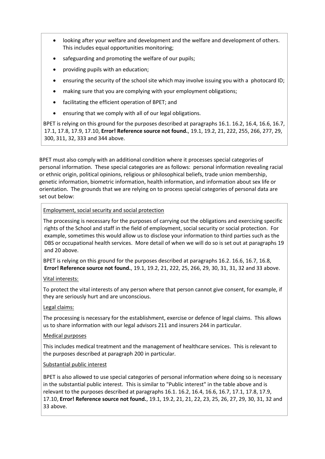- looking after your welfare and development and the welfare and development of others. This includes equal opportunities monitoring;
- safeguarding and promoting the welfare of our pupils;
- providing pupils with an education;
- ensuring the security of the school site which may involve issuing you with a photocard ID;
- making sure that you are complying with your employment obligations;
- facilitating the efficient operation of BPET; and
- ensuring that we comply with all of our legal obligations.

BPET is relying on this ground for the purposes described at paragraph[s 16.1.](#page-2-6) [16.2,](#page-2-7) [16.4,](#page-2-8) [16.6,](#page-2-3) [16.7,](#page-2-9) [17.1,](#page-2-4) [17.8,](#page-3-0) [17.9,](#page-3-1) [17.10,](#page-3-2) **Error! Reference source not found.**, [19.1,](#page-4-3) [19.2,](#page-4-4) 21, [222](#page-4-7), [255](#page-4-1), [266](#page-4-5), [277](#page-4-8), [29,](#page-4-9) [300](#page-4-10), [311](#page-4-11), 32, [333](#page-5-0) and [344](#page-5-1) above.

BPET must also comply with an additional condition where it processes special categories of personal information. These special categories are as follows: personal information revealing racial or ethnic origin, political opinions, religious or philosophical beliefs, trade union membership, genetic information, biometric information, health information, and information about sex life or orientation. The grounds that we are relying on to process special categories of personal data are set out below:

## Employment, social security and social protection

The processing is necessary for the purposes of carrying out the obligations and exercising specific rights of the School and staff in the field of employment, social security or social protection. For example, sometimes this would allow us to disclose your information to third parties such as the DBS or occupational health services. More detail of when we will do so is set out at paragraphs [19](#page-4-2) and [20](#page-4-0) above.

BPET is relying on this ground for the purposes described at paragraphs [16.2.](#page-2-7) [16.6,](#page-2-3) [16.7,](#page-2-9) [16.8,](#page-2-1) **Error! Reference source not found.**, [19.1,](#page-4-3) [19.2,](#page-4-4) 21, [222](#page-4-7), 25, [266](#page-4-5), [29,](#page-4-9) 30, 31, [31,](#page-4-11) [32](#page-4-12) an[d 33](#page-5-0) above.

# Vital interests:

To protect the vital interests of any person where that person cannot give consent, for example, if they are seriously hurt and are unconscious.

#### Legal claims:

The processing is necessary for the establishment, exercise or defence of legal claims. This allows us to share information with our legal advisors [211](#page-4-13) and insurers [244](#page-4-14) in particular.

#### Medical purposes

This includes medical treatment and the management of healthcare services. This is relevant to the purposes described at paragraph [200](#page-4-0) in particular.

#### Substantial public interest

BPET is also allowed to use special categories of personal information where doing so is necessary in the substantial public interest. This is similar to "Public interest" in the table above and is relevant to the purposes described at paragraphs [16.1.](#page-2-6) [16.2,](#page-2-7) [16.4,](#page-2-8) [16.6,](#page-2-3) [16.7,](#page-2-9) [17.1,](#page-2-4) [17.8,](#page-3-0) [17.9,](#page-3-1) [17.10,](#page-3-2) **Error! Reference source not found.**[, 19.1,](#page-4-3) [19.2,](#page-4-4) 21, [21,](#page-4-13) [22,](#page-4-7) [23,](#page-4-15) [25,](#page-4-1) [26,](#page-4-5) [27,](#page-4-8) [29,](#page-4-9) [30,](#page-4-10) [31,](#page-4-11) [32](#page-4-12) and [33](#page-5-0) above.